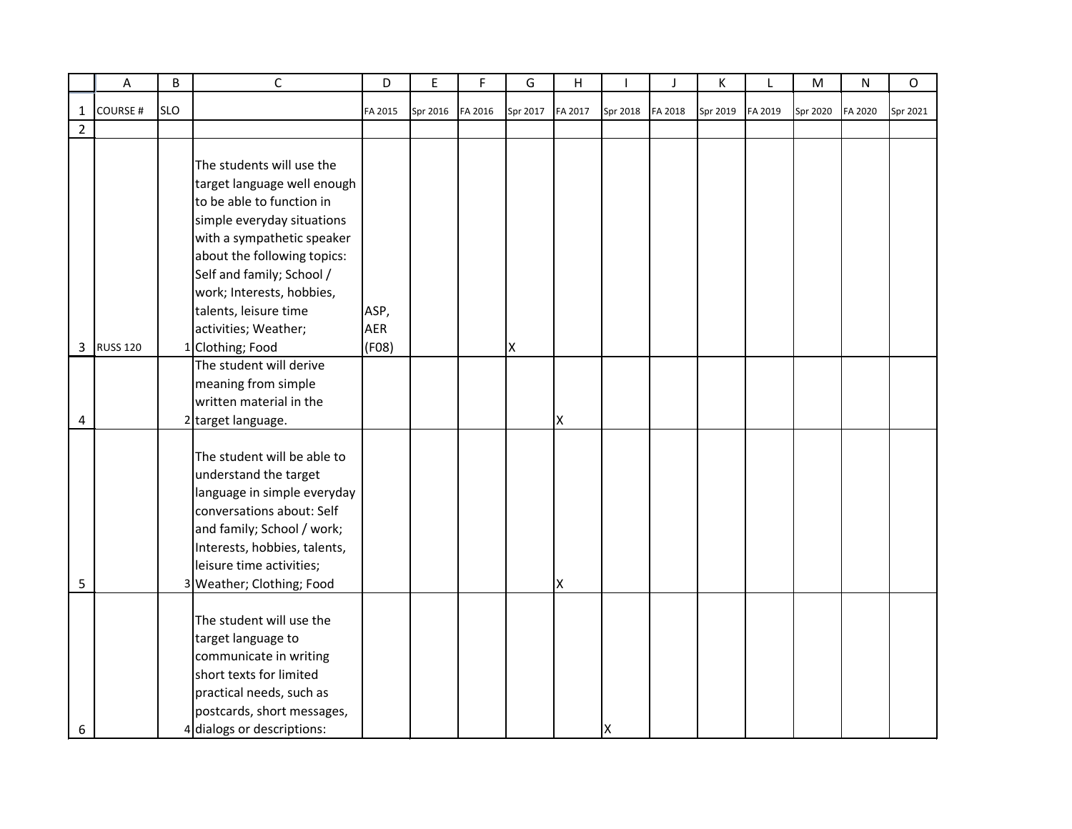|                | A               | $\sf B$    | $\mathsf{C}$                 | D       | E        | F       | G        | H       |          | J       | К        | L       | M        | $\mathsf{N}$ | O        |
|----------------|-----------------|------------|------------------------------|---------|----------|---------|----------|---------|----------|---------|----------|---------|----------|--------------|----------|
| $\mathbf{1}$   | <b>COURSE#</b>  | <b>SLO</b> |                              | FA 2015 | Spr 2016 | FA 2016 | Spr 2017 | FA 2017 | Spr 2018 | FA 2018 | Spr 2019 | FA 2019 | Spr 2020 | FA 2020      | Spr 2021 |
| $\overline{2}$ |                 |            |                              |         |          |         |          |         |          |         |          |         |          |              |          |
|                |                 |            |                              |         |          |         |          |         |          |         |          |         |          |              |          |
|                |                 |            | The students will use the    |         |          |         |          |         |          |         |          |         |          |              |          |
|                |                 |            | target language well enough  |         |          |         |          |         |          |         |          |         |          |              |          |
|                |                 |            | to be able to function in    |         |          |         |          |         |          |         |          |         |          |              |          |
|                |                 |            | simple everyday situations   |         |          |         |          |         |          |         |          |         |          |              |          |
|                |                 |            | with a sympathetic speaker   |         |          |         |          |         |          |         |          |         |          |              |          |
|                |                 |            | about the following topics:  |         |          |         |          |         |          |         |          |         |          |              |          |
|                |                 |            | Self and family; School /    |         |          |         |          |         |          |         |          |         |          |              |          |
|                |                 |            | work; Interests, hobbies,    |         |          |         |          |         |          |         |          |         |          |              |          |
|                |                 |            | talents, leisure time        | ASP,    |          |         |          |         |          |         |          |         |          |              |          |
|                |                 |            | activities; Weather;         | AER     |          |         |          |         |          |         |          |         |          |              |          |
| 3              | <b>RUSS 120</b> |            | 1 Clothing; Food             | (F08)   |          |         | Χ        |         |          |         |          |         |          |              |          |
|                |                 |            | The student will derive      |         |          |         |          |         |          |         |          |         |          |              |          |
|                |                 |            | meaning from simple          |         |          |         |          |         |          |         |          |         |          |              |          |
|                |                 |            | written material in the      |         |          |         |          |         |          |         |          |         |          |              |          |
| 4              |                 |            | 2 target language.           |         |          |         |          | X       |          |         |          |         |          |              |          |
|                |                 |            | The student will be able to  |         |          |         |          |         |          |         |          |         |          |              |          |
|                |                 |            | understand the target        |         |          |         |          |         |          |         |          |         |          |              |          |
|                |                 |            | language in simple everyday  |         |          |         |          |         |          |         |          |         |          |              |          |
|                |                 |            | conversations about: Self    |         |          |         |          |         |          |         |          |         |          |              |          |
|                |                 |            | and family; School / work;   |         |          |         |          |         |          |         |          |         |          |              |          |
|                |                 |            | Interests, hobbies, talents, |         |          |         |          |         |          |         |          |         |          |              |          |
|                |                 |            | leisure time activities;     |         |          |         |          |         |          |         |          |         |          |              |          |
| 5              |                 |            | 3 Weather; Clothing; Food    |         |          |         |          | X       |          |         |          |         |          |              |          |
|                |                 |            |                              |         |          |         |          |         |          |         |          |         |          |              |          |
|                |                 |            | The student will use the     |         |          |         |          |         |          |         |          |         |          |              |          |
|                |                 |            | target language to           |         |          |         |          |         |          |         |          |         |          |              |          |
|                |                 |            | communicate in writing       |         |          |         |          |         |          |         |          |         |          |              |          |
|                |                 |            | short texts for limited      |         |          |         |          |         |          |         |          |         |          |              |          |
|                |                 |            | practical needs, such as     |         |          |         |          |         |          |         |          |         |          |              |          |
|                |                 |            | postcards, short messages,   |         |          |         |          |         |          |         |          |         |          |              |          |
| 6              |                 |            | 4 dialogs or descriptions:   |         |          |         |          |         | X        |         |          |         |          |              |          |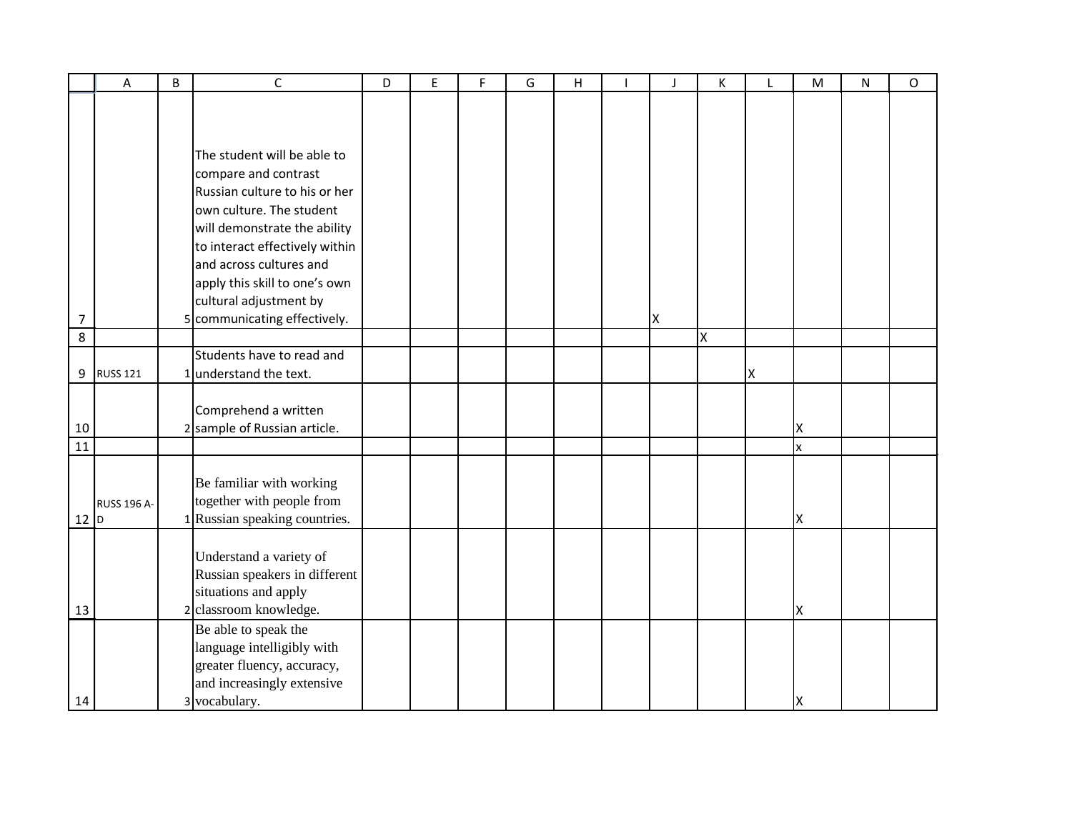|                 | A                  | $\sf B$ | $\mathsf{C}$                   | D | E | F | G | H | J | К | Г | M                       | $\mathsf{N}$ | $\mathsf{O}$ |
|-----------------|--------------------|---------|--------------------------------|---|---|---|---|---|---|---|---|-------------------------|--------------|--------------|
|                 |                    |         |                                |   |   |   |   |   |   |   |   |                         |              |              |
|                 |                    |         |                                |   |   |   |   |   |   |   |   |                         |              |              |
|                 |                    |         |                                |   |   |   |   |   |   |   |   |                         |              |              |
|                 |                    |         | The student will be able to    |   |   |   |   |   |   |   |   |                         |              |              |
|                 |                    |         | compare and contrast           |   |   |   |   |   |   |   |   |                         |              |              |
|                 |                    |         | Russian culture to his or her  |   |   |   |   |   |   |   |   |                         |              |              |
|                 |                    |         | own culture. The student       |   |   |   |   |   |   |   |   |                         |              |              |
|                 |                    |         | will demonstrate the ability   |   |   |   |   |   |   |   |   |                         |              |              |
|                 |                    |         | to interact effectively within |   |   |   |   |   |   |   |   |                         |              |              |
|                 |                    |         | and across cultures and        |   |   |   |   |   |   |   |   |                         |              |              |
|                 |                    |         | apply this skill to one's own  |   |   |   |   |   |   |   |   |                         |              |              |
|                 |                    |         | cultural adjustment by         |   |   |   |   |   |   |   |   |                         |              |              |
| $\overline{7}$  |                    |         | 5 communicating effectively.   |   |   |   |   |   | X |   |   |                         |              |              |
| 8               |                    |         |                                |   |   |   |   |   |   | X |   |                         |              |              |
|                 |                    |         | Students have to read and      |   |   |   |   |   |   |   |   |                         |              |              |
| 9               | <b>RUSS 121</b>    |         | $1$ understand the text.       |   |   |   |   |   |   |   | X |                         |              |              |
|                 |                    |         |                                |   |   |   |   |   |   |   |   |                         |              |              |
|                 |                    |         | Comprehend a written           |   |   |   |   |   |   |   |   |                         |              |              |
| 10              |                    |         | 2 sample of Russian article.   |   |   |   |   |   |   |   |   | X                       |              |              |
| $\overline{11}$ |                    |         |                                |   |   |   |   |   |   |   |   | $\overline{\mathsf{x}}$ |              |              |
|                 |                    |         |                                |   |   |   |   |   |   |   |   |                         |              |              |
|                 |                    |         | Be familiar with working       |   |   |   |   |   |   |   |   |                         |              |              |
|                 | <b>RUSS 196 A-</b> |         | together with people from      |   |   |   |   |   |   |   |   |                         |              |              |
| 12 D            |                    |         | 1 Russian speaking countries.  |   |   |   |   |   |   |   |   | X                       |              |              |
|                 |                    |         |                                |   |   |   |   |   |   |   |   |                         |              |              |
|                 |                    |         | Understand a variety of        |   |   |   |   |   |   |   |   |                         |              |              |
|                 |                    |         | Russian speakers in different  |   |   |   |   |   |   |   |   |                         |              |              |
|                 |                    |         | situations and apply           |   |   |   |   |   |   |   |   |                         |              |              |
| 13              |                    |         | 2 classroom knowledge.         |   |   |   |   |   |   |   |   | X                       |              |              |
|                 |                    |         | Be able to speak the           |   |   |   |   |   |   |   |   |                         |              |              |
|                 |                    |         | language intelligibly with     |   |   |   |   |   |   |   |   |                         |              |              |
|                 |                    |         | greater fluency, accuracy,     |   |   |   |   |   |   |   |   |                         |              |              |
|                 |                    |         | and increasingly extensive     |   |   |   |   |   |   |   |   |                         |              |              |
| 14              |                    |         | 3 vocabulary.                  |   |   |   |   |   |   |   |   | ΙX                      |              |              |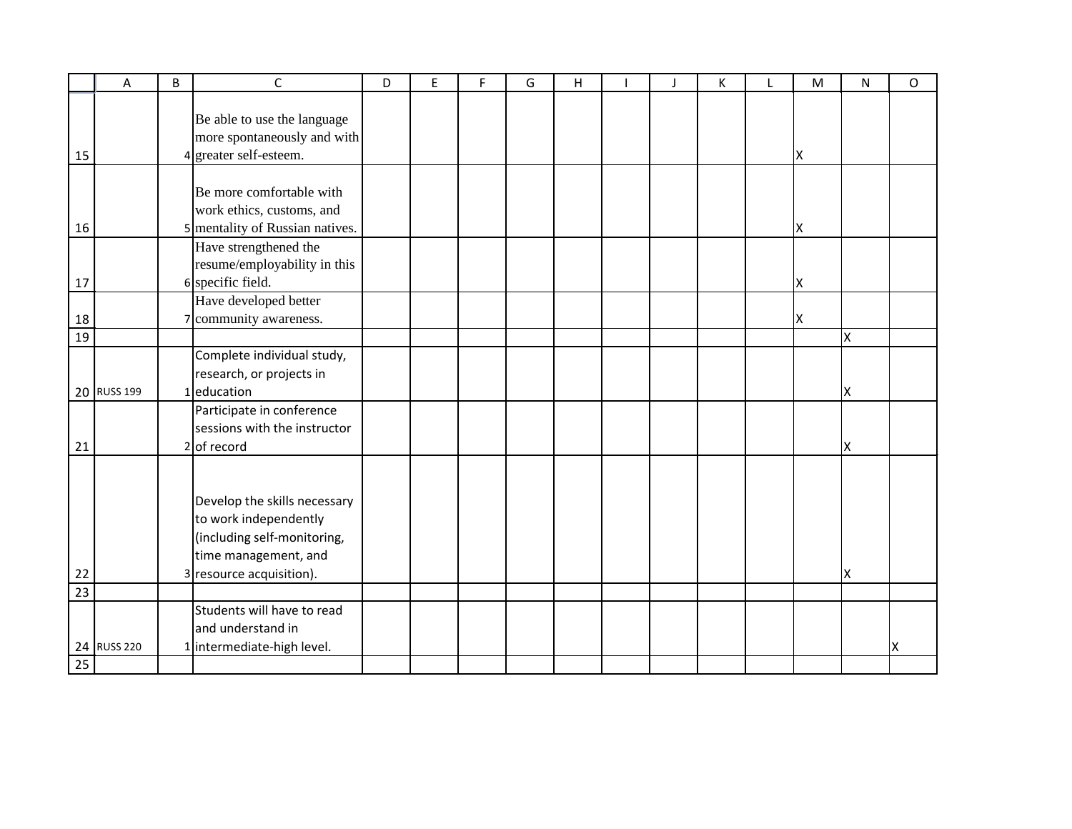|    | A           | B | C                                                                                                                                        | D | E | F | G | H | $\mathbf{I}$ | К | L | M | $\mathsf{N}$ | O |
|----|-------------|---|------------------------------------------------------------------------------------------------------------------------------------------|---|---|---|---|---|--------------|---|---|---|--------------|---|
| 15 |             |   | Be able to use the language<br>more spontaneously and with<br>4 greater self-esteem.                                                     |   |   |   |   |   |              |   |   | Χ |              |   |
| 16 |             |   | Be more comfortable with<br>work ethics, customs, and<br>5 mentality of Russian natives.                                                 |   |   |   |   |   |              |   |   | Χ |              |   |
| 17 |             |   | Have strengthened the<br>resume/employability in this<br>6 specific field.                                                               |   |   |   |   |   |              |   |   | Χ |              |   |
| 18 |             |   | Have developed better<br>7 community awareness.                                                                                          |   |   |   |   |   |              |   |   | Χ |              |   |
| 19 |             |   |                                                                                                                                          |   |   |   |   |   |              |   |   |   | X            |   |
|    | 20 RUSS 199 |   | Complete individual study,<br>research, or projects in<br>1 education                                                                    |   |   |   |   |   |              |   |   |   | х            |   |
| 21 |             |   | Participate in conference<br>sessions with the instructor<br>$2$ of record                                                               |   |   |   |   |   |              |   |   |   | X            |   |
| 22 |             |   | Develop the skills necessary<br>to work independently<br>(including self-monitoring,<br>time management, and<br>3 resource acquisition). |   |   |   |   |   |              |   |   |   | Χ            |   |
| 23 |             |   |                                                                                                                                          |   |   |   |   |   |              |   |   |   |              |   |
|    | 24 RUSS 220 |   | Students will have to read<br>and understand in<br>1 intermediate-high level.                                                            |   |   |   |   |   |              |   |   |   |              | X |
| 25 |             |   |                                                                                                                                          |   |   |   |   |   |              |   |   |   |              |   |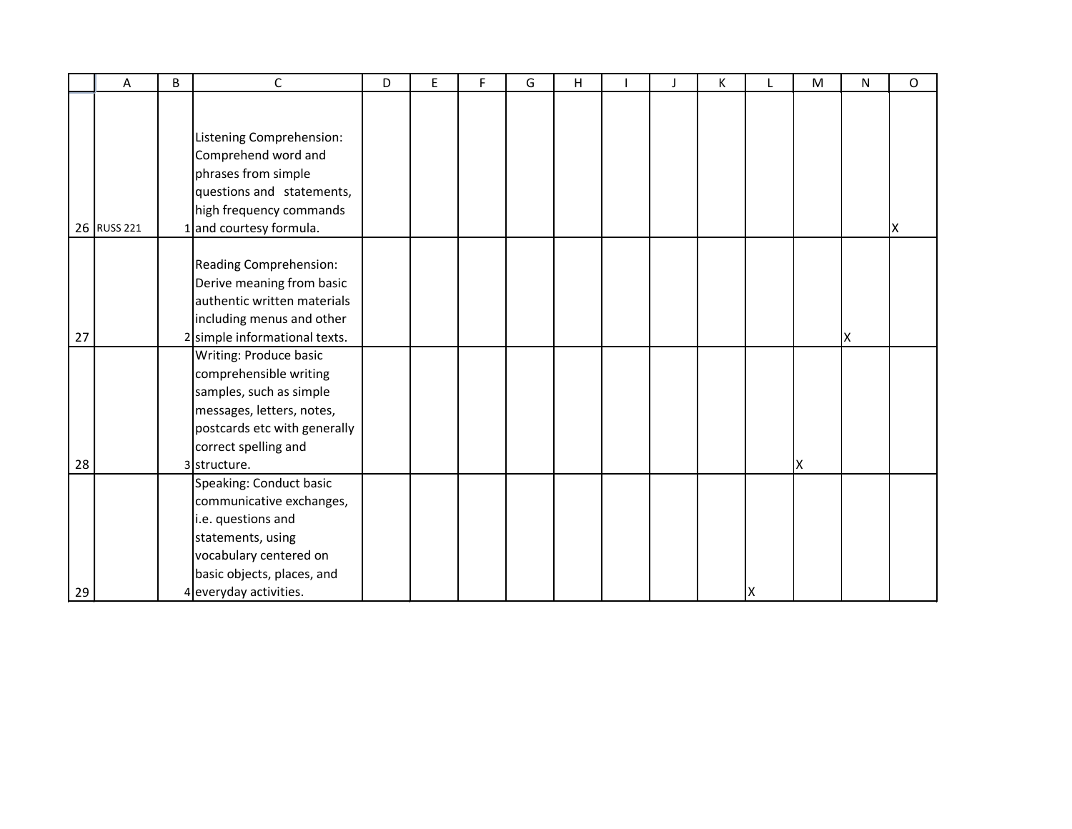|    | A           | B | $\mathsf{C}$                                                                                                                                                                     | D | E | F. | G | H |  | К | M | ${\sf N}$ | $\mathsf{O}$ |
|----|-------------|---|----------------------------------------------------------------------------------------------------------------------------------------------------------------------------------|---|---|----|---|---|--|---|---|-----------|--------------|
|    | 26 RUSS 221 |   | Listening Comprehension:<br>Comprehend word and<br>phrases from simple<br>questions and statements,<br>high frequency commands<br>I and courtesy formula.                        |   |   |    |   |   |  |   |   |           | X            |
| 27 |             |   | Reading Comprehension:<br>Derive meaning from basic<br>authentic written materials<br>including menus and other<br>2 simple informational texts.                                 |   |   |    |   |   |  |   |   | х         |              |
| 28 |             |   | Writing: Produce basic<br>comprehensible writing<br>samples, such as simple<br>messages, letters, notes,<br>postcards etc with generally<br>correct spelling and<br>3 structure. |   |   |    |   |   |  |   | Χ |           |              |
| 29 |             |   | Speaking: Conduct basic<br>communicative exchanges,<br>i.e. questions and<br>statements, using<br>vocabulary centered on<br>basic objects, places, and<br>4 everyday activities. |   |   |    |   |   |  |   |   |           |              |